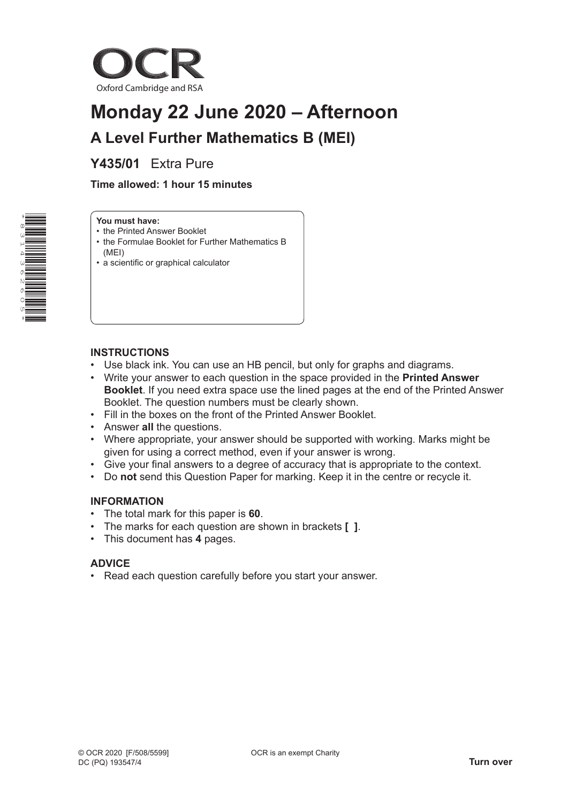

# **Monday 22 June 2020 – Afternoon A Level Further Mathematics B (MEI)**

**Y435/01** Extra Pure

 **Time allowed: 1 hour 15 minutes**



#### **You must have:**

- the Printed Answer Booklet
- the Formulae Booklet for Further Mathematics B (MEI)
- a scientific or graphical calculator

# **INSTRUCTIONS**

- Use black ink. You can use an HB pencil, but only for graphs and diagrams.
- Write your answer to each question in the space provided in the **Printed Answer Booklet**. If you need extra space use the lined pages at the end of the Printed Answer Booklet. The question numbers must be clearly shown.
- Fill in the boxes on the front of the Printed Answer Booklet.
- Answer **all** the questions.
- Where appropriate, your answer should be supported with working. Marks might be given for using a correct method, even if your answer is wrong.
- Give your final answers to a degree of accuracy that is appropriate to the context.
- Do **not** send this Question Paper for marking. Keep it in the centre or recycle it.

#### **INFORMATION**

- The total mark for this paper is **60**.
- The marks for each question are shown in brackets **[ ]**.
- This document has **4** pages.

# **ADVICE**

• Read each question carefully before you start your answer.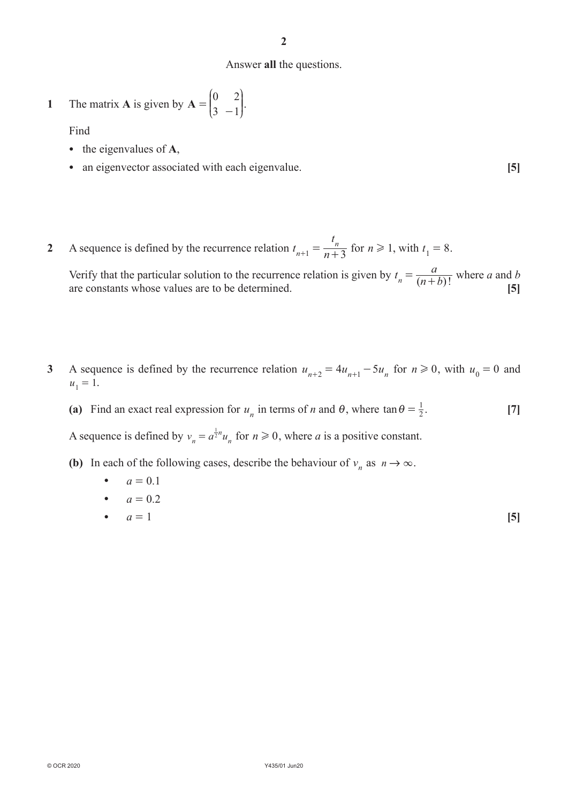**2**

#### Answer **all** the questions.

1 The matrix **A** is given by 
$$
A = \begin{pmatrix} 0 & 2 \\ 3 & -1 \end{pmatrix}
$$
.

Find

- the eigenvalues of **A**,
- an eigenvector associated with each eigenvalue. **[5]**
- **2** A sequence is defined by the recurrence relation  $t_{n+1} = \frac{1}{n}$ *t*  $n+1$  –  $n+3$  $t_{n+1} = \frac{t_n}{n+3}$  for  $n \ge 1$ , with  $t_1 = 8$ .

Verify that the particular solution to the recurrence relation is given by  $t_n = \frac{a}{(n+b)!}$  where *a* and *b* are constants whose values are to be determined. [5]

- **3** A sequence is defined by the recurrence relation  $u_{n+2} = 4u_{n+1} 5u_n$  for  $n \ge 0$ , with  $u_0 = 0$  and  $u_1 = 1.$ 
	- (a) Find an exact real expression for  $u_n$  in terms of *n* and  $\theta$ , where  $\tan \theta = \frac{1}{2}$ . [7]

A sequence is defined by  $v_n = a^{\frac{1}{2}n} u_n$  for  $n \ge 0$ , where *a* is a positive constant.

- **(b)** In each of the following cases, describe the behaviour of  $v_n$  as  $n \to \infty$ .
	- $a = 0.1$
	- $a = 0.2$
	- $a = 1$  [5]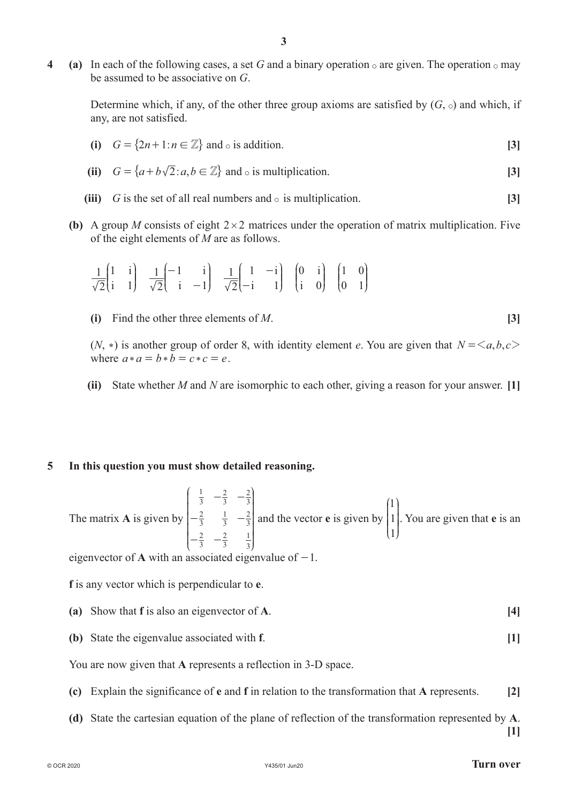**4 (a)** In each of the following cases, a set G and a binary operation  $\circ$  are given. The operation  $\circ$  may be assumed to be associative on *G*.

**3**

Determine which, if any, of the other three group axioms are satisfied by  $(G, \circ)$  and which, if any, are not satisfied.

- **(i)**  $G = \{2n+1 : n \in \mathbb{Z}\}$  and  $\circ$  is addition. **[3]** (ii)  $G = \{a+b\sqrt{2} : a,b \in \mathbb{Z}\}$  and  $\circ$  is multiplication. [3]
- **(iii)** *G* is the set of all real numbers and  $\circ$  is multiplication. [3]
- **(b)** A group *M* consists of eight  $2 \times 2$  matrices under the operation of matrix multiplication. Five of the eight elements of *M* are as follows.

$$
\frac{1}{\sqrt{2}}\begin{pmatrix} 1 & i \\ i & 1 \end{pmatrix} \quad \frac{1}{\sqrt{2}}\begin{pmatrix} -1 & i \\ i & -1 \end{pmatrix} \quad \frac{1}{\sqrt{2}}\begin{pmatrix} 1 & -i \\ -i & 1 \end{pmatrix} \quad \begin{pmatrix} 0 & i \\ i & 0 \end{pmatrix} \quad \begin{pmatrix} 1 & 0 \\ 0 & 1 \end{pmatrix}
$$

**(i)** Find the other three elements of *M*. **[3]**

 $(N, *)$  is another group of order 8, with identity element *e*. You are given that  $N = \langle a, b, c \rangle$ where  $a * a = b * b = c * c = e$ .

 **(ii)** State whether *M* and *N* are isomorphic to each other, giving a reason for your answer. **[1]**

# **5 In this question you must show detailed reasoning.**

The matrix **A** is given by 3 1 3 2 3 2 3 2 3 1 3 2 3 2 3 2 3 1 - - - - - -  $\overline{1}$ K  $\mathsf I$  $\mathsf{I}$ K K N i l  $\overline{\phantom{a}}$  $\overline{\phantom{a}}$ O  $\cdot$  and the vector **e** is given by 1 1 1  $\overline{1}$ L K  $\parallel$ N  $\overline{y}$ O  $\overline{\phantom{a}}$ . You are given that **e** is an

eigenvector of **A** with an associated eigenvalue of  $-1$ .

**f** is any vector which is perpendicular to **e**.

- **(a)** Show that **f** is also an eigenvector of **A**. **[4]**
- **(b)** State the eigenvalue associated with **f**. **[1]**

You are now given that **A** represents a reflection in 3-D space.

- **(c)** Explain the significance of **e** and **f** in relation to the transformation that **A** represents. **[2]**
- **(d)** State the cartesian equation of the plane of reflection of the transformation represented by **A**.

**[1]**